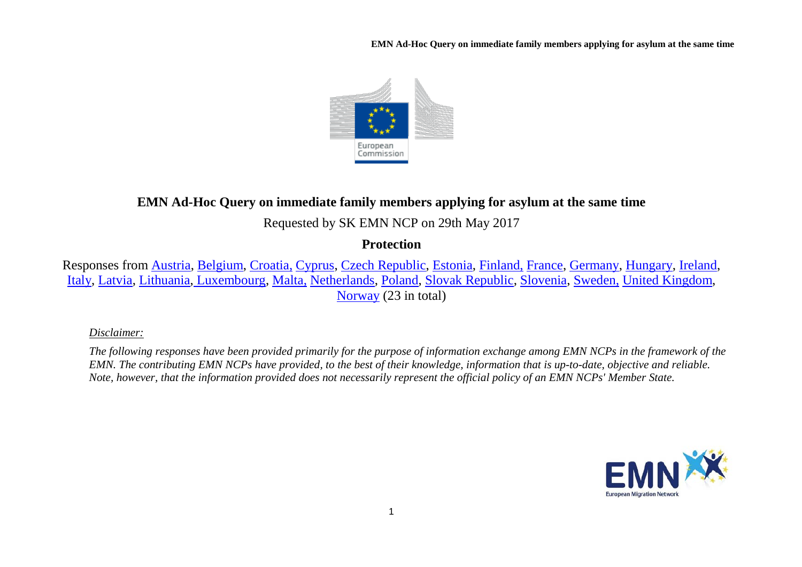**EMN Ad-Hoc Query on immediate family members applying for asylum at the same time**



# **EMN Ad-Hoc Query on immediate family members applying for asylum at the same time**

Requested by SK EMN NCP on 29th May 2017

## **Protection**

Responses from [Austria,](#page-1-0) [Belgium,](#page-1-1) [Croatia,](#page-2-0) [Cyprus,](#page-2-1) [Czech Republic,](#page-2-2) [Estonia,](#page-3-0) [Finland,](#page-3-1) [France,](#page-3-2) [Germany,](#page-5-0) [Hungary,](#page-5-1) [Ireland,](#page-5-2) [Italy,](#page-6-0) [Latvia,](#page-6-1) [Lithuania,](#page-6-2) [Luxembourg,](#page-7-0) [Malta,](#page-7-1) [Netherlands,](#page-9-0) [Poland,](#page-9-1) [Slovak Republic,](#page-10-0) [Slovenia,](#page-10-1) [Sweden,](#page-10-2) [United Kingdom,](#page-10-3) [Norway](#page-11-0) (23 in total)

*Disclaimer:* 

*The following responses have been provided primarily for the purpose of information exchange among EMN NCPs in the framework of the EMN. The contributing EMN NCPs have provided, to the best of their knowledge, information that is up-to-date, objective and reliable. Note, however, that the information provided does not necessarily represent the official policy of an EMN NCPs' Member State.*

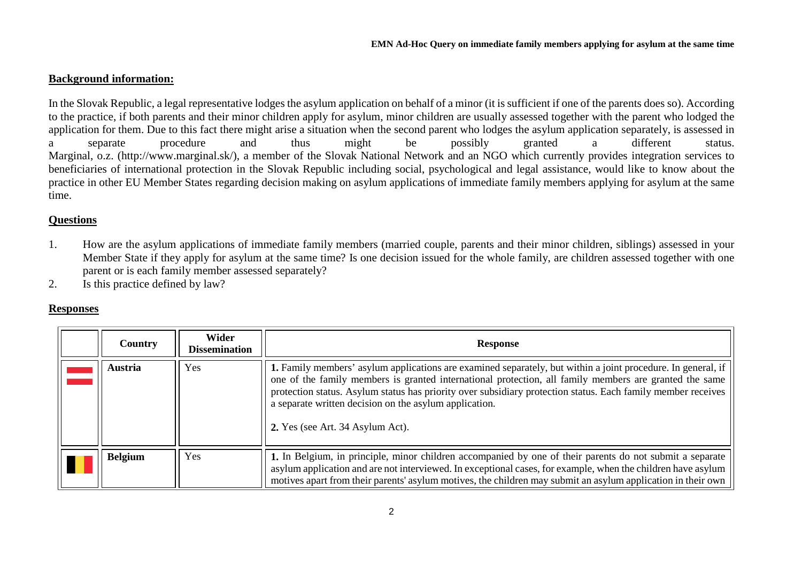### **Background information:**

In the Slovak Republic, a legal representative lodges the asylum application on behalf of a minor (it is sufficient if one of the parents does so). According to the practice, if both parents and their minor children apply for asylum, minor children are usually assessed together with the parent who lodged the application for them. Due to this fact there might arise a situation when the second parent who lodges the asylum application separately, is assessed in a separate procedure and thus might be possibly granted a different status. Marginal, o.z. (http://www.marginal.sk/), a member of the Slovak National Network and an NGO which currently provides integration services to beneficiaries of international protection in the Slovak Republic including social, psychological and legal assistance, would like to know about the practice in other EU Member States regarding decision making on asylum applications of immediate family members applying for asylum at the same time.

### **Questions**

- 1. How are the asylum applications of immediate family members (married couple, parents and their minor children, siblings) assessed in your Member State if they apply for asylum at the same time? Is one decision issued for the whole family, are children assessed together with one parent or is each family member assessed separately?
- 2. Is this practice defined by law?

#### **Responses**

<span id="page-1-1"></span><span id="page-1-0"></span>

| Country        | Wider<br><b>Dissemination</b> | <b>Response</b>                                                                                                                                                                                                                                                                                                                                                                                                                      |
|----------------|-------------------------------|--------------------------------------------------------------------------------------------------------------------------------------------------------------------------------------------------------------------------------------------------------------------------------------------------------------------------------------------------------------------------------------------------------------------------------------|
| Austria        | Yes                           | 1. Family members' asylum applications are examined separately, but within a joint procedure. In general, if<br>one of the family members is granted international protection, all family members are granted the same<br>protection status. Asylum status has priority over subsidiary protection status. Each family member receives<br>a separate written decision on the asylum application.<br>2. Yes (see Art. 34 Asylum Act). |
| <b>Belgium</b> | Yes                           | 1. In Belgium, in principle, minor children accompanied by one of their parents do not submit a separate<br>asylum application and are not interviewed. In exceptional cases, for example, when the children have asylum<br>motives apart from their parents' asylum motives, the children may submit an asylum application in their own                                                                                             |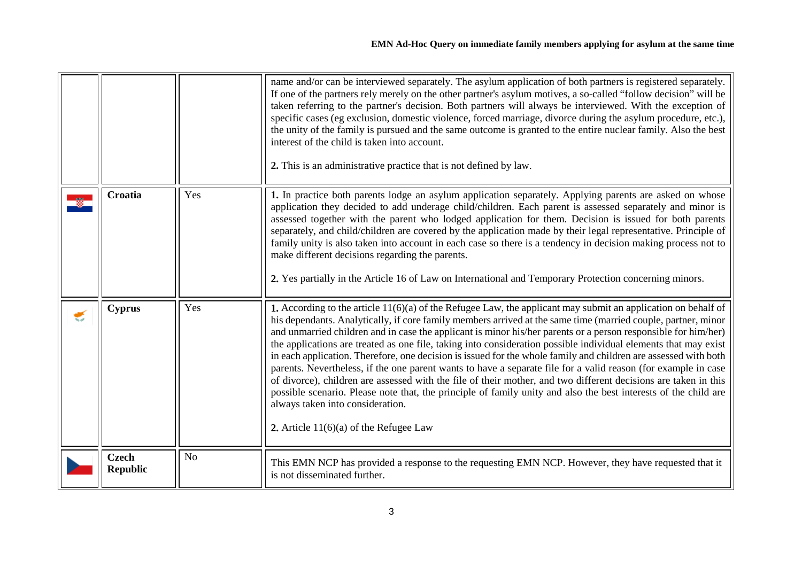<span id="page-2-2"></span><span id="page-2-1"></span><span id="page-2-0"></span>

|   |                                 |                | name and/or can be interviewed separately. The asylum application of both partners is registered separately.<br>If one of the partners rely merely on the other partner's asylum motives, a so-called "follow decision" will be<br>taken referring to the partner's decision. Both partners will always be interviewed. With the exception of<br>specific cases (eg exclusion, domestic violence, forced marriage, divorce during the asylum procedure, etc.),<br>the unity of the family is pursued and the same outcome is granted to the entire nuclear family. Also the best<br>interest of the child is taken into account.<br>2. This is an administrative practice that is not defined by law.                                                                                                                                                                                                                                                                                                                            |
|---|---------------------------------|----------------|----------------------------------------------------------------------------------------------------------------------------------------------------------------------------------------------------------------------------------------------------------------------------------------------------------------------------------------------------------------------------------------------------------------------------------------------------------------------------------------------------------------------------------------------------------------------------------------------------------------------------------------------------------------------------------------------------------------------------------------------------------------------------------------------------------------------------------------------------------------------------------------------------------------------------------------------------------------------------------------------------------------------------------|
|   | <b>Croatia</b>                  | Yes            | 1. In practice both parents lodge an asylum application separately. Applying parents are asked on whose<br>application they decided to add underage child/children. Each parent is assessed separately and minor is<br>assessed together with the parent who lodged application for them. Decision is issued for both parents<br>separately, and child/children are covered by the application made by their legal representative. Principle of<br>family unity is also taken into account in each case so there is a tendency in decision making process not to<br>make different decisions regarding the parents.<br>2. Yes partially in the Article 16 of Law on International and Temporary Protection concerning minors.                                                                                                                                                                                                                                                                                                    |
| € | <b>Cyprus</b>                   | Yes            | 1. According to the article $11(6)(a)$ of the Refugee Law, the applicant may submit an application on behalf of<br>his dependants. Analytically, if core family members arrived at the same time (married couple, partner, minor<br>and unmarried children and in case the applicant is minor his/her parents or a person responsible for him/her)<br>the applications are treated as one file, taking into consideration possible individual elements that may exist<br>in each application. Therefore, one decision is issued for the whole family and children are assessed with both<br>parents. Nevertheless, if the one parent wants to have a separate file for a valid reason (for example in case<br>of divorce), children are assessed with the file of their mother, and two different decisions are taken in this<br>possible scenario. Please note that, the principle of family unity and also the best interests of the child are<br>always taken into consideration.<br>2. Article $11(6)(a)$ of the Refugee Law |
|   | <b>Czech</b><br><b>Republic</b> | N <sub>o</sub> | This EMN NCP has provided a response to the requesting EMN NCP. However, they have requested that it<br>is not disseminated further.                                                                                                                                                                                                                                                                                                                                                                                                                                                                                                                                                                                                                                                                                                                                                                                                                                                                                             |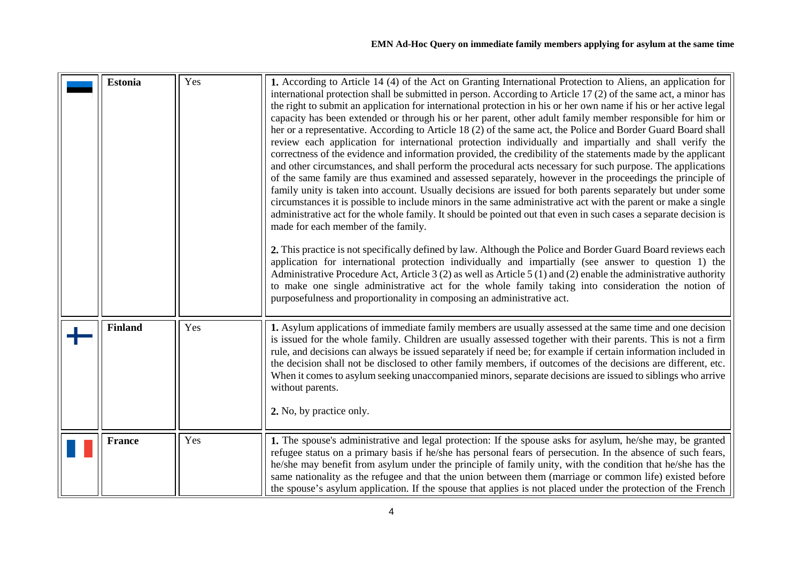<span id="page-3-2"></span><span id="page-3-1"></span><span id="page-3-0"></span>

| <b>Estonia</b> | Yes | 1. According to Article 14 (4) of the Act on Granting International Protection to Aliens, an application for<br>international protection shall be submitted in person. According to Article 17 (2) of the same act, a minor has<br>the right to submit an application for international protection in his or her own name if his or her active legal<br>capacity has been extended or through his or her parent, other adult family member responsible for him or<br>her or a representative. According to Article 18 (2) of the same act, the Police and Border Guard Board shall<br>review each application for international protection individually and impartially and shall verify the<br>correctness of the evidence and information provided, the credibility of the statements made by the applicant<br>and other circumstances, and shall perform the procedural acts necessary for such purpose. The applications<br>of the same family are thus examined and assessed separately, however in the proceedings the principle of<br>family unity is taken into account. Usually decisions are issued for both parents separately but under some<br>circumstances it is possible to include minors in the same administrative act with the parent or make a single<br>administrative act for the whole family. It should be pointed out that even in such cases a separate decision is<br>made for each member of the family.<br>2. This practice is not specifically defined by law. Although the Police and Border Guard Board reviews each<br>application for international protection individually and impartially (see answer to question 1) the<br>Administrative Procedure Act, Article 3 (2) as well as Article 5 (1) and (2) enable the administrative authority<br>to make one single administrative act for the whole family taking into consideration the notion of<br>purposefulness and proportionality in composing an administrative act. |
|----------------|-----|-------------------------------------------------------------------------------------------------------------------------------------------------------------------------------------------------------------------------------------------------------------------------------------------------------------------------------------------------------------------------------------------------------------------------------------------------------------------------------------------------------------------------------------------------------------------------------------------------------------------------------------------------------------------------------------------------------------------------------------------------------------------------------------------------------------------------------------------------------------------------------------------------------------------------------------------------------------------------------------------------------------------------------------------------------------------------------------------------------------------------------------------------------------------------------------------------------------------------------------------------------------------------------------------------------------------------------------------------------------------------------------------------------------------------------------------------------------------------------------------------------------------------------------------------------------------------------------------------------------------------------------------------------------------------------------------------------------------------------------------------------------------------------------------------------------------------------------------------------------------------------------------------------------------------------------------------------------------|
| <b>Finland</b> | Yes | 1. Asylum applications of immediate family members are usually assessed at the same time and one decision<br>is issued for the whole family. Children are usually assessed together with their parents. This is not a firm<br>rule, and decisions can always be issued separately if need be; for example if certain information included in<br>the decision shall not be disclosed to other family members, if outcomes of the decisions are different, etc.<br>When it comes to asylum seeking unaccompanied minors, separate decisions are issued to siblings who arrive<br>without parents.<br>2. No, by practice only.                                                                                                                                                                                                                                                                                                                                                                                                                                                                                                                                                                                                                                                                                                                                                                                                                                                                                                                                                                                                                                                                                                                                                                                                                                                                                                                                       |
| <b>France</b>  | Yes | 1. The spouse's administrative and legal protection: If the spouse asks for asylum, he/she may, be granted<br>refugee status on a primary basis if he/she has personal fears of persecution. In the absence of such fears,<br>he/she may benefit from asylum under the principle of family unity, with the condition that he/she has the<br>same nationality as the refugee and that the union between them (marriage or common life) existed before<br>the spouse's asylum application. If the spouse that applies is not placed under the protection of the French                                                                                                                                                                                                                                                                                                                                                                                                                                                                                                                                                                                                                                                                                                                                                                                                                                                                                                                                                                                                                                                                                                                                                                                                                                                                                                                                                                                              |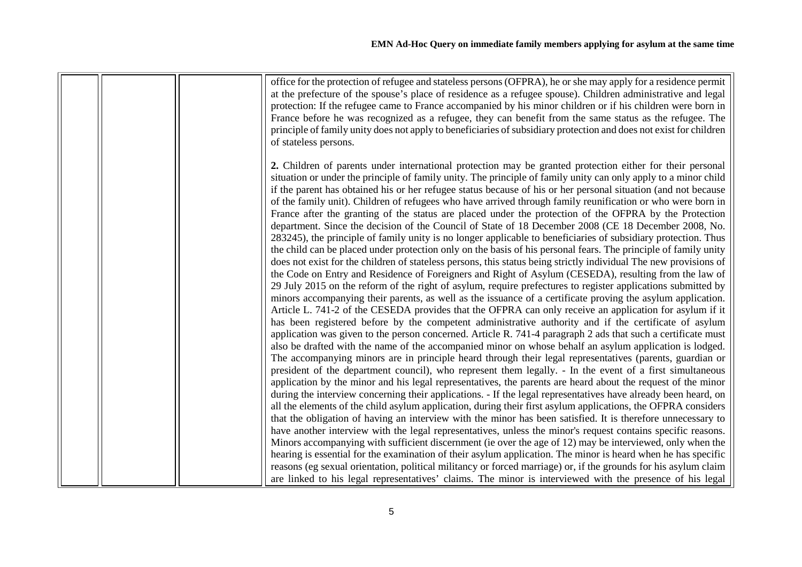| office for the protection of refugee and stateless persons (OFPRA), he or she may apply for a residence permit<br>at the prefecture of the spouse's place of residence as a refugee spouse). Children administrative and legal<br>protection: If the refugee came to France accompanied by his minor children or if his children were born in<br>France before he was recognized as a refugee, they can benefit from the same status as the refugee. The<br>principle of family unity does not apply to beneficiaries of subsidiary protection and does not exist for children<br>of stateless persons.                                                                                                                                                                                                                                                                                                                                                                                                                                                                                                                                                                                                                                                                                                                                                                                                                                                                                                                                                                                                                                                                                                                                                                                                                                                                                                                                                                                                                                                                                                                                                                                                                                                                                                                                                                                                                                                                                                                     |
|-----------------------------------------------------------------------------------------------------------------------------------------------------------------------------------------------------------------------------------------------------------------------------------------------------------------------------------------------------------------------------------------------------------------------------------------------------------------------------------------------------------------------------------------------------------------------------------------------------------------------------------------------------------------------------------------------------------------------------------------------------------------------------------------------------------------------------------------------------------------------------------------------------------------------------------------------------------------------------------------------------------------------------------------------------------------------------------------------------------------------------------------------------------------------------------------------------------------------------------------------------------------------------------------------------------------------------------------------------------------------------------------------------------------------------------------------------------------------------------------------------------------------------------------------------------------------------------------------------------------------------------------------------------------------------------------------------------------------------------------------------------------------------------------------------------------------------------------------------------------------------------------------------------------------------------------------------------------------------------------------------------------------------------------------------------------------------------------------------------------------------------------------------------------------------------------------------------------------------------------------------------------------------------------------------------------------------------------------------------------------------------------------------------------------------------------------------------------------------------------------------------------------------|
| 2. Children of parents under international protection may be granted protection either for their personal<br>situation or under the principle of family unity. The principle of family unity can only apply to a minor child<br>if the parent has obtained his or her refugee status because of his or her personal situation (and not because<br>of the family unit). Children of refugees who have arrived through family reunification or who were born in<br>France after the granting of the status are placed under the protection of the OFPRA by the Protection<br>department. Since the decision of the Council of State of 18 December 2008 (CE 18 December 2008, No.<br>283245), the principle of family unity is no longer applicable to beneficiaries of subsidiary protection. Thus<br>the child can be placed under protection only on the basis of his personal fears. The principle of family unity<br>does not exist for the children of stateless persons, this status being strictly individual The new provisions of<br>the Code on Entry and Residence of Foreigners and Right of Asylum (CESEDA), resulting from the law of<br>29 July 2015 on the reform of the right of asylum, require prefectures to register applications submitted by<br>minors accompanying their parents, as well as the issuance of a certificate proving the asylum application.<br>Article L. 741-2 of the CESEDA provides that the OFPRA can only receive an application for asylum if it<br>has been registered before by the competent administrative authority and if the certificate of asylum<br>application was given to the person concerned. Article R. 741-4 paragraph 2 ads that such a certificate must<br>also be drafted with the name of the accompanied minor on whose behalf an asylum application is lodged.<br>The accompanying minors are in principle heard through their legal representatives (parents, guardian or<br>president of the department council), who represent them legally. - In the event of a first simultaneous<br>application by the minor and his legal representatives, the parents are heard about the request of the minor<br>during the interview concerning their applications. - If the legal representatives have already been heard, on<br>all the elements of the child asylum application, during their first asylum applications, the OFPRA considers<br>that the obligation of having an interview with the minor has been satisfied. It is therefore unnecessary to |
| have another interview with the legal representatives, unless the minor's request contains specific reasons.<br>Minors accompanying with sufficient discernment (ie over the age of 12) may be interviewed, only when the<br>hearing is essential for the examination of their asylum application. The minor is heard when he has specific                                                                                                                                                                                                                                                                                                                                                                                                                                                                                                                                                                                                                                                                                                                                                                                                                                                                                                                                                                                                                                                                                                                                                                                                                                                                                                                                                                                                                                                                                                                                                                                                                                                                                                                                                                                                                                                                                                                                                                                                                                                                                                                                                                                  |
| reasons (eg sexual orientation, political militancy or forced marriage) or, if the grounds for his asylum claim<br>are linked to his legal representatives' claims. The minor is interviewed with the presence of his legal                                                                                                                                                                                                                                                                                                                                                                                                                                                                                                                                                                                                                                                                                                                                                                                                                                                                                                                                                                                                                                                                                                                                                                                                                                                                                                                                                                                                                                                                                                                                                                                                                                                                                                                                                                                                                                                                                                                                                                                                                                                                                                                                                                                                                                                                                                 |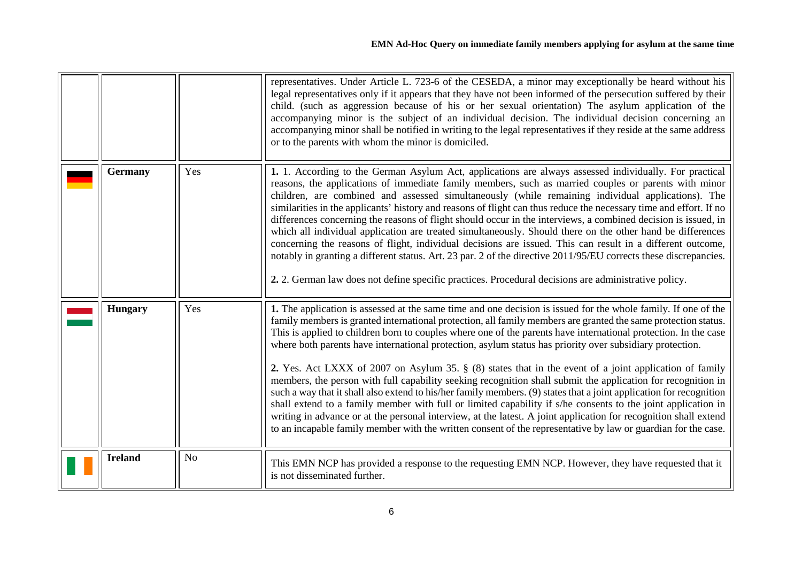<span id="page-5-2"></span><span id="page-5-1"></span><span id="page-5-0"></span>

|                |                | representatives. Under Article L. 723-6 of the CESEDA, a minor may exceptionally be heard without his<br>legal representatives only if it appears that they have not been informed of the persecution suffered by their<br>child. (such as aggression because of his or her sexual orientation) The asylum application of the<br>accompanying minor is the subject of an individual decision. The individual decision concerning an<br>accompanying minor shall be notified in writing to the legal representatives if they reside at the same address<br>or to the parents with whom the minor is domiciled.                                                                                                                                                                                                                                                                                                                                                                                                                                                                                                                                                         |
|----------------|----------------|-----------------------------------------------------------------------------------------------------------------------------------------------------------------------------------------------------------------------------------------------------------------------------------------------------------------------------------------------------------------------------------------------------------------------------------------------------------------------------------------------------------------------------------------------------------------------------------------------------------------------------------------------------------------------------------------------------------------------------------------------------------------------------------------------------------------------------------------------------------------------------------------------------------------------------------------------------------------------------------------------------------------------------------------------------------------------------------------------------------------------------------------------------------------------|
| <b>Germany</b> | Yes            | 1. 1. According to the German Asylum Act, applications are always assessed individually. For practical<br>reasons, the applications of immediate family members, such as married couples or parents with minor<br>children, are combined and assessed simultaneously (while remaining individual applications). The<br>similarities in the applicants' history and reasons of flight can thus reduce the necessary time and effort. If no<br>differences concerning the reasons of flight should occur in the interviews, a combined decision is issued, in<br>which all individual application are treated simultaneously. Should there on the other hand be differences<br>concerning the reasons of flight, individual decisions are issued. This can result in a different outcome,<br>notably in granting a different status. Art. 23 par. 2 of the directive 2011/95/EU corrects these discrepancies.<br>2. 2. German law does not define specific practices. Procedural decisions are administrative policy.                                                                                                                                                   |
| <b>Hungary</b> | Yes            | 1. The application is assessed at the same time and one decision is issued for the whole family. If one of the<br>family members is granted international protection, all family members are granted the same protection status.<br>This is applied to children born to couples where one of the parents have international protection. In the case<br>where both parents have international protection, asylum status has priority over subsidiary protection.<br>2. Yes. Act LXXX of 2007 on Asylum 35. § (8) states that in the event of a joint application of family<br>members, the person with full capability seeking recognition shall submit the application for recognition in<br>such a way that it shall also extend to his/her family members. (9) states that a joint application for recognition<br>shall extend to a family member with full or limited capability if s/he consents to the joint application in<br>writing in advance or at the personal interview, at the latest. A joint application for recognition shall extend<br>to an incapable family member with the written consent of the representative by law or guardian for the case. |
| <b>Ireland</b> | N <sub>o</sub> | This EMN NCP has provided a response to the requesting EMN NCP. However, they have requested that it<br>is not disseminated further.                                                                                                                                                                                                                                                                                                                                                                                                                                                                                                                                                                                                                                                                                                                                                                                                                                                                                                                                                                                                                                  |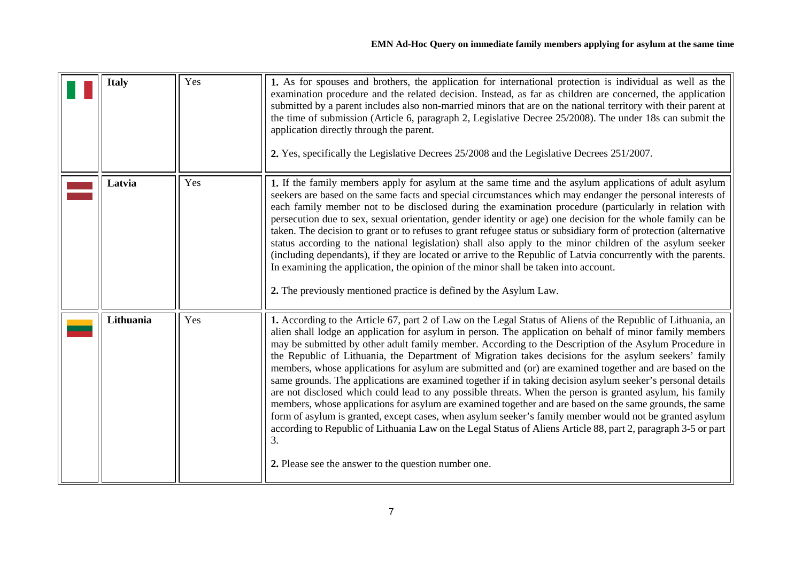<span id="page-6-2"></span><span id="page-6-1"></span><span id="page-6-0"></span>

| <b>Italy</b> | Yes | 1. As for spouses and brothers, the application for international protection is individual as well as the<br>examination procedure and the related decision. Instead, as far as children are concerned, the application<br>submitted by a parent includes also non-married minors that are on the national territory with their parent at<br>the time of submission (Article 6, paragraph 2, Legislative Decree $25/2008$ ). The under 18s can submit the<br>application directly through the parent.<br>2. Yes, specifically the Legislative Decrees 25/2008 and the Legislative Decrees 251/2007.                                                                                                                                                                                                                                                                                                                                                                                                                                                                                                                                                                                        |
|--------------|-----|--------------------------------------------------------------------------------------------------------------------------------------------------------------------------------------------------------------------------------------------------------------------------------------------------------------------------------------------------------------------------------------------------------------------------------------------------------------------------------------------------------------------------------------------------------------------------------------------------------------------------------------------------------------------------------------------------------------------------------------------------------------------------------------------------------------------------------------------------------------------------------------------------------------------------------------------------------------------------------------------------------------------------------------------------------------------------------------------------------------------------------------------------------------------------------------------|
| Latvia       | Yes | 1. If the family members apply for asylum at the same time and the asylum applications of adult asylum<br>seekers are based on the same facts and special circumstances which may endanger the personal interests of<br>each family member not to be disclosed during the examination procedure (particularly in relation with<br>persecution due to sex, sexual orientation, gender identity or age) one decision for the whole family can be<br>taken. The decision to grant or to refuses to grant refugee status or subsidiary form of protection (alternative<br>status according to the national legislation) shall also apply to the minor children of the asylum seeker<br>(including dependants), if they are located or arrive to the Republic of Latvia concurrently with the parents.<br>In examining the application, the opinion of the minor shall be taken into account.<br>2. The previously mentioned practice is defined by the Asylum Law.                                                                                                                                                                                                                             |
| Lithuania    | Yes | 1. According to the Article 67, part 2 of Law on the Legal Status of Aliens of the Republic of Lithuania, an<br>alien shall lodge an application for asylum in person. The application on behalf of minor family members<br>may be submitted by other adult family member. According to the Description of the Asylum Procedure in<br>the Republic of Lithuania, the Department of Migration takes decisions for the asylum seekers' family<br>members, whose applications for asylum are submitted and (or) are examined together and are based on the<br>same grounds. The applications are examined together if in taking decision asylum seeker's personal details<br>are not disclosed which could lead to any possible threats. When the person is granted asylum, his family<br>members, whose applications for asylum are examined together and are based on the same grounds, the same<br>form of asylum is granted, except cases, when asylum seeker's family member would not be granted asylum<br>according to Republic of Lithuania Law on the Legal Status of Aliens Article 88, part 2, paragraph 3-5 or part<br>3.<br>2. Please see the answer to the question number one. |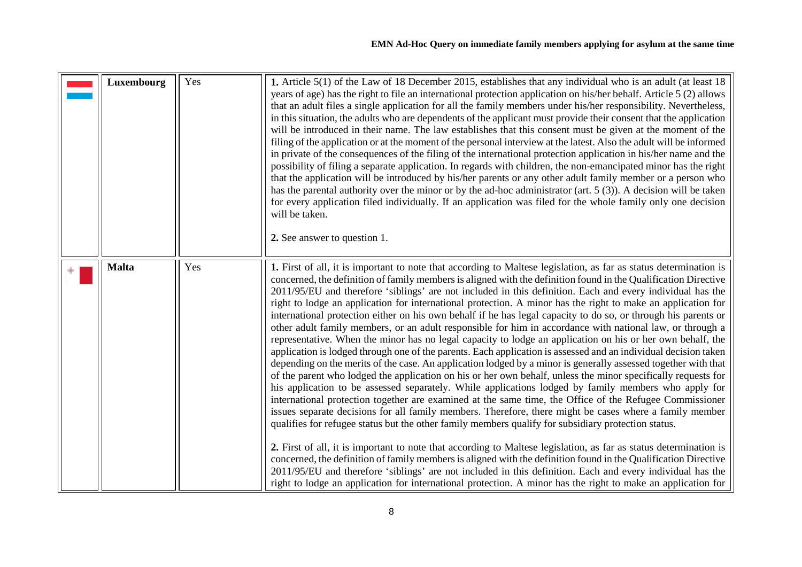<span id="page-7-1"></span><span id="page-7-0"></span>

| Luxembourg   | Yes | 1. Article 5(1) of the Law of 18 December 2015, establishes that any individual who is an adult (at least 18<br>years of age) has the right to file an international protection application on his/her behalf. Article 5 (2) allows<br>that an adult files a single application for all the family members under his/her responsibility. Nevertheless,<br>in this situation, the adults who are dependents of the applicant must provide their consent that the application<br>will be introduced in their name. The law establishes that this consent must be given at the moment of the<br>filing of the application or at the moment of the personal interview at the latest. Also the adult will be informed<br>in private of the consequences of the filing of the international protection application in his/her name and the<br>possibility of filing a separate application. In regards with children, the non-emancipated minor has the right<br>that the application will be introduced by his/her parents or any other adult family member or a person who<br>has the parental authority over the minor or by the ad-hoc administrator (art. $5(3)$ ). A decision will be taken<br>for every application filed individually. If an application was filed for the whole family only one decision<br>will be taken.<br>2. See answer to question 1.                                                                                                                                                                                                                                                                                                                                                                                                                                                                                                                                                                                                                                                                                                                    |
|--------------|-----|----------------------------------------------------------------------------------------------------------------------------------------------------------------------------------------------------------------------------------------------------------------------------------------------------------------------------------------------------------------------------------------------------------------------------------------------------------------------------------------------------------------------------------------------------------------------------------------------------------------------------------------------------------------------------------------------------------------------------------------------------------------------------------------------------------------------------------------------------------------------------------------------------------------------------------------------------------------------------------------------------------------------------------------------------------------------------------------------------------------------------------------------------------------------------------------------------------------------------------------------------------------------------------------------------------------------------------------------------------------------------------------------------------------------------------------------------------------------------------------------------------------------------------------------------------------------------------------------------------------------------------------------------------------------------------------------------------------------------------------------------------------------------------------------------------------------------------------------------------------------------------------------------------------------------------------------------------------------------------------------------------------------------------------------------------------------------------|
| <b>Malta</b> | Yes | 1. First of all, it is important to note that according to Maltese legislation, as far as status determination is<br>concerned, the definition of family members is aligned with the definition found in the Qualification Directive<br>2011/95/EU and therefore 'siblings' are not included in this definition. Each and every individual has the<br>right to lodge an application for international protection. A minor has the right to make an application for<br>international protection either on his own behalf if he has legal capacity to do so, or through his parents or<br>other adult family members, or an adult responsible for him in accordance with national law, or through a<br>representative. When the minor has no legal capacity to lodge an application on his or her own behalf, the<br>application is lodged through one of the parents. Each application is assessed and an individual decision taken<br>depending on the merits of the case. An application lodged by a minor is generally assessed together with that<br>of the parent who lodged the application on his or her own behalf, unless the minor specifically requests for<br>his application to be assessed separately. While applications lodged by family members who apply for<br>international protection together are examined at the same time, the Office of the Refugee Commissioner<br>issues separate decisions for all family members. Therefore, there might be cases where a family member<br>qualifies for refugee status but the other family members qualify for subsidiary protection status.<br>2. First of all, it is important to note that according to Maltese legislation, as far as status determination is<br>concerned, the definition of family members is aligned with the definition found in the Qualification Directive<br>2011/95/EU and therefore 'siblings' are not included in this definition. Each and every individual has the<br>right to lodge an application for international protection. A minor has the right to make an application for |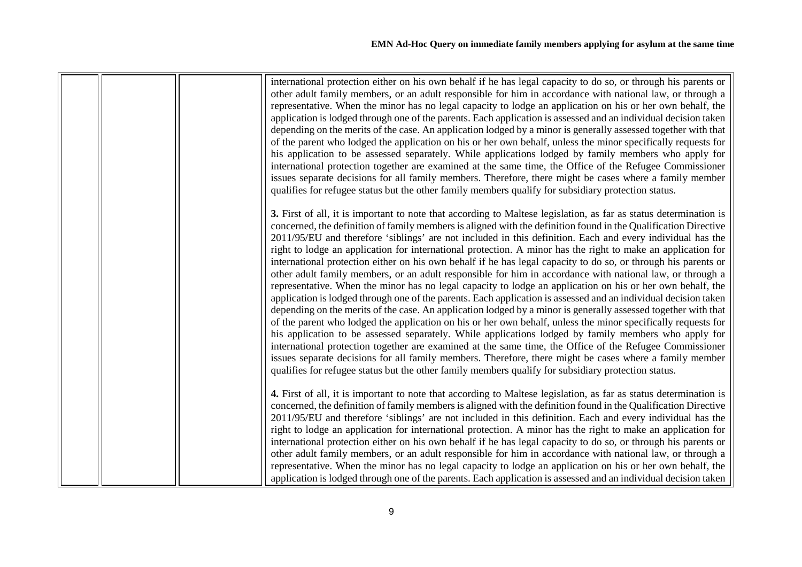|  | international protection either on his own behalf if he has legal capacity to do so, or through his parents or<br>other adult family members, or an adult responsible for him in accordance with national law, or through a<br>representative. When the minor has no legal capacity to lodge an application on his or her own behalf, the<br>application is lodged through one of the parents. Each application is assessed and an individual decision taken<br>depending on the merits of the case. An application lodged by a minor is generally assessed together with that<br>of the parent who lodged the application on his or her own behalf, unless the minor specifically requests for<br>his application to be assessed separately. While applications lodged by family members who apply for<br>international protection together are examined at the same time, the Office of the Refugee Commissioner<br>issues separate decisions for all family members. Therefore, there might be cases where a family member<br>qualifies for refugee status but the other family members qualify for subsidiary protection status.                                                                                                                                                                                                                                                                                                                                                                                                                                                                       |
|--|------------------------------------------------------------------------------------------------------------------------------------------------------------------------------------------------------------------------------------------------------------------------------------------------------------------------------------------------------------------------------------------------------------------------------------------------------------------------------------------------------------------------------------------------------------------------------------------------------------------------------------------------------------------------------------------------------------------------------------------------------------------------------------------------------------------------------------------------------------------------------------------------------------------------------------------------------------------------------------------------------------------------------------------------------------------------------------------------------------------------------------------------------------------------------------------------------------------------------------------------------------------------------------------------------------------------------------------------------------------------------------------------------------------------------------------------------------------------------------------------------------------------------------------------------------------------------------------------------------|
|  | 3. First of all, it is important to note that according to Maltese legislation, as far as status determination is<br>concerned, the definition of family members is aligned with the definition found in the Qualification Directive<br>2011/95/EU and therefore 'siblings' are not included in this definition. Each and every individual has the<br>right to lodge an application for international protection. A minor has the right to make an application for<br>international protection either on his own behalf if he has legal capacity to do so, or through his parents or<br>other adult family members, or an adult responsible for him in accordance with national law, or through a<br>representative. When the minor has no legal capacity to lodge an application on his or her own behalf, the<br>application is lodged through one of the parents. Each application is assessed and an individual decision taken<br>depending on the merits of the case. An application lodged by a minor is generally assessed together with that<br>of the parent who lodged the application on his or her own behalf, unless the minor specifically requests for<br>his application to be assessed separately. While applications lodged by family members who apply for<br>international protection together are examined at the same time, the Office of the Refugee Commissioner<br>issues separate decisions for all family members. Therefore, there might be cases where a family member<br>qualifies for refugee status but the other family members qualify for subsidiary protection status. |
|  | 4. First of all, it is important to note that according to Maltese legislation, as far as status determination is<br>concerned, the definition of family members is aligned with the definition found in the Qualification Directive<br>2011/95/EU and therefore 'siblings' are not included in this definition. Each and every individual has the<br>right to lodge an application for international protection. A minor has the right to make an application for<br>international protection either on his own behalf if he has legal capacity to do so, or through his parents or<br>other adult family members, or an adult responsible for him in accordance with national law, or through a<br>representative. When the minor has no legal capacity to lodge an application on his or her own behalf, the<br>application is lodged through one of the parents. Each application is assessed and an individual decision taken                                                                                                                                                                                                                                                                                                                                                                                                                                                                                                                                                                                                                                                                         |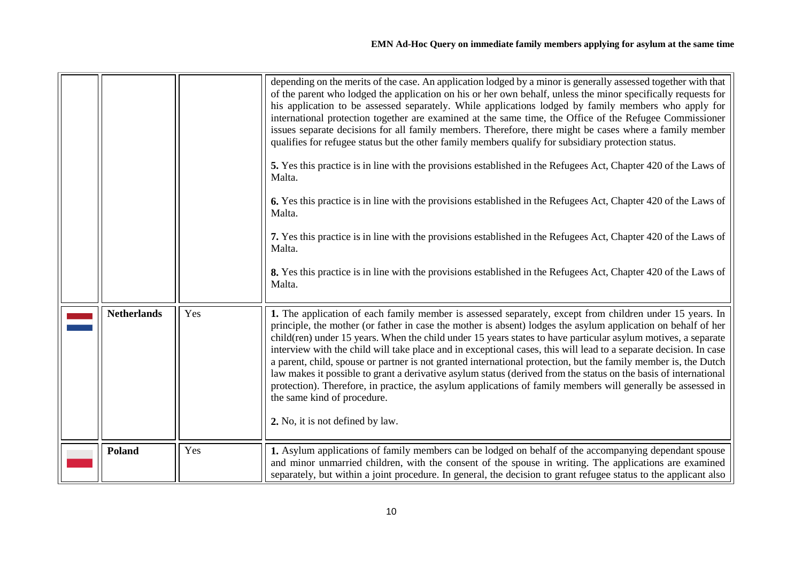<span id="page-9-1"></span><span id="page-9-0"></span>

|                    |     | depending on the merits of the case. An application lodged by a minor is generally assessed together with that<br>of the parent who lodged the application on his or her own behalf, unless the minor specifically requests for<br>his application to be assessed separately. While applications lodged by family members who apply for<br>international protection together are examined at the same time, the Office of the Refugee Commissioner<br>issues separate decisions for all family members. Therefore, there might be cases where a family member<br>qualifies for refugee status but the other family members qualify for subsidiary protection status.<br>5. Yes this practice is in line with the provisions established in the Refugees Act, Chapter 420 of the Laws of<br>Malta.<br>6. Yes this practice is in line with the provisions established in the Refugees Act, Chapter 420 of the Laws of<br>Malta.<br>7. Yes this practice is in line with the provisions established in the Refugees Act, Chapter 420 of the Laws of<br>Malta.<br>8. Yes this practice is in line with the provisions established in the Refugees Act, Chapter 420 of the Laws of<br>Malta. |
|--------------------|-----|------------------------------------------------------------------------------------------------------------------------------------------------------------------------------------------------------------------------------------------------------------------------------------------------------------------------------------------------------------------------------------------------------------------------------------------------------------------------------------------------------------------------------------------------------------------------------------------------------------------------------------------------------------------------------------------------------------------------------------------------------------------------------------------------------------------------------------------------------------------------------------------------------------------------------------------------------------------------------------------------------------------------------------------------------------------------------------------------------------------------------------------------------------------------------------------|
| <b>Netherlands</b> | Yes | 1. The application of each family member is assessed separately, except from children under 15 years. In<br>principle, the mother (or father in case the mother is absent) lodges the asylum application on behalf of her<br>child(ren) under 15 years. When the child under 15 years states to have particular asylum motives, a separate<br>interview with the child will take place and in exceptional cases, this will lead to a separate decision. In case<br>a parent, child, spouse or partner is not granted international protection, but the family member is, the Dutch<br>law makes it possible to grant a derivative asylum status (derived from the status on the basis of international<br>protection). Therefore, in practice, the asylum applications of family members will generally be assessed in<br>the same kind of procedure.<br>2. No, it is not defined by law.                                                                                                                                                                                                                                                                                                |
| <b>Poland</b>      | Yes | 1. Asylum applications of family members can be lodged on behalf of the accompanying dependant spouse<br>and minor unmarried children, with the consent of the spouse in writing. The applications are examined<br>separately, but within a joint procedure. In general, the decision to grant refugee status to the applicant also                                                                                                                                                                                                                                                                                                                                                                                                                                                                                                                                                                                                                                                                                                                                                                                                                                                      |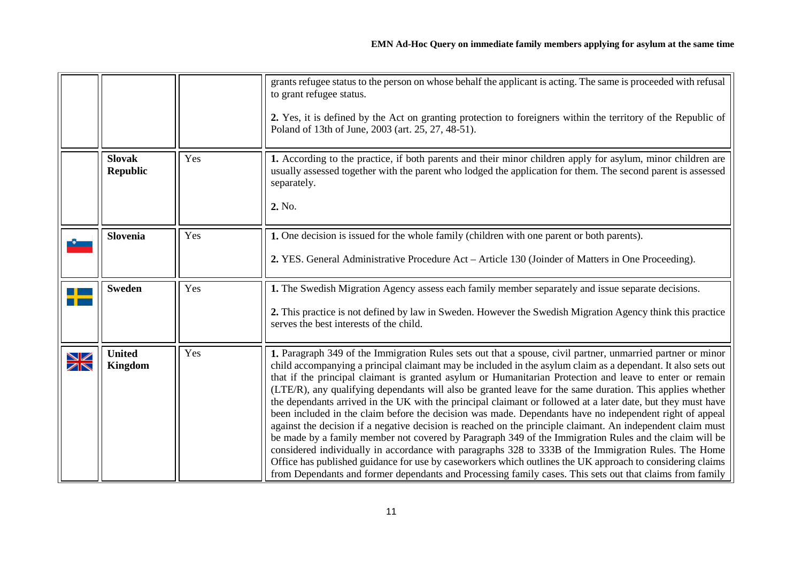<span id="page-10-3"></span><span id="page-10-2"></span><span id="page-10-1"></span><span id="page-10-0"></span>

|        |                                  |     | grants refugee status to the person on whose behalf the applicant is acting. The same is proceeded with refusal<br>to grant refugee status.<br>2. Yes, it is defined by the Act on granting protection to foreigners within the territory of the Republic of<br>Poland of 13th of June, 2003 (art. 25, 27, 48-51).                                                                                                                                                                                                                                                                                                                                                                                                                                                                                                                                                                                                                                                                                                                                                                                                                                                                                                                        |
|--------|----------------------------------|-----|-------------------------------------------------------------------------------------------------------------------------------------------------------------------------------------------------------------------------------------------------------------------------------------------------------------------------------------------------------------------------------------------------------------------------------------------------------------------------------------------------------------------------------------------------------------------------------------------------------------------------------------------------------------------------------------------------------------------------------------------------------------------------------------------------------------------------------------------------------------------------------------------------------------------------------------------------------------------------------------------------------------------------------------------------------------------------------------------------------------------------------------------------------------------------------------------------------------------------------------------|
|        | <b>Slovak</b><br><b>Republic</b> | Yes | 1. According to the practice, if both parents and their minor children apply for asylum, minor children are<br>usually assessed together with the parent who lodged the application for them. The second parent is assessed<br>separately.<br>2. No.                                                                                                                                                                                                                                                                                                                                                                                                                                                                                                                                                                                                                                                                                                                                                                                                                                                                                                                                                                                      |
|        | <b>Slovenia</b>                  | Yes | 1. One decision is issued for the whole family (children with one parent or both parents).<br>2. YES. General Administrative Procedure Act – Article 130 (Joinder of Matters in One Proceeding).                                                                                                                                                                                                                                                                                                                                                                                                                                                                                                                                                                                                                                                                                                                                                                                                                                                                                                                                                                                                                                          |
|        | <b>Sweden</b>                    | Yes | 1. The Swedish Migration Agency assess each family member separately and issue separate decisions.<br>2. This practice is not defined by law in Sweden. However the Swedish Migration Agency think this practice<br>serves the best interests of the child.                                                                                                                                                                                                                                                                                                                                                                                                                                                                                                                                                                                                                                                                                                                                                                                                                                                                                                                                                                               |
| $\geq$ | <b>United</b><br><b>Kingdom</b>  | Yes | 1. Paragraph 349 of the Immigration Rules sets out that a spouse, civil partner, unmarried partner or minor<br>child accompanying a principal claimant may be included in the asylum claim as a dependant. It also sets out<br>that if the principal claimant is granted asylum or Humanitarian Protection and leave to enter or remain<br>(LTE/R), any qualifying dependants will also be granted leave for the same duration. This applies whether<br>the dependants arrived in the UK with the principal claimant or followed at a later date, but they must have<br>been included in the claim before the decision was made. Dependants have no independent right of appeal<br>against the decision if a negative decision is reached on the principle claimant. An independent claim must<br>be made by a family member not covered by Paragraph 349 of the Immigration Rules and the claim will be<br>considered individually in accordance with paragraphs 328 to 333B of the Immigration Rules. The Home<br>Office has published guidance for use by caseworkers which outlines the UK approach to considering claims<br>from Dependants and former dependants and Processing family cases. This sets out that claims from family |